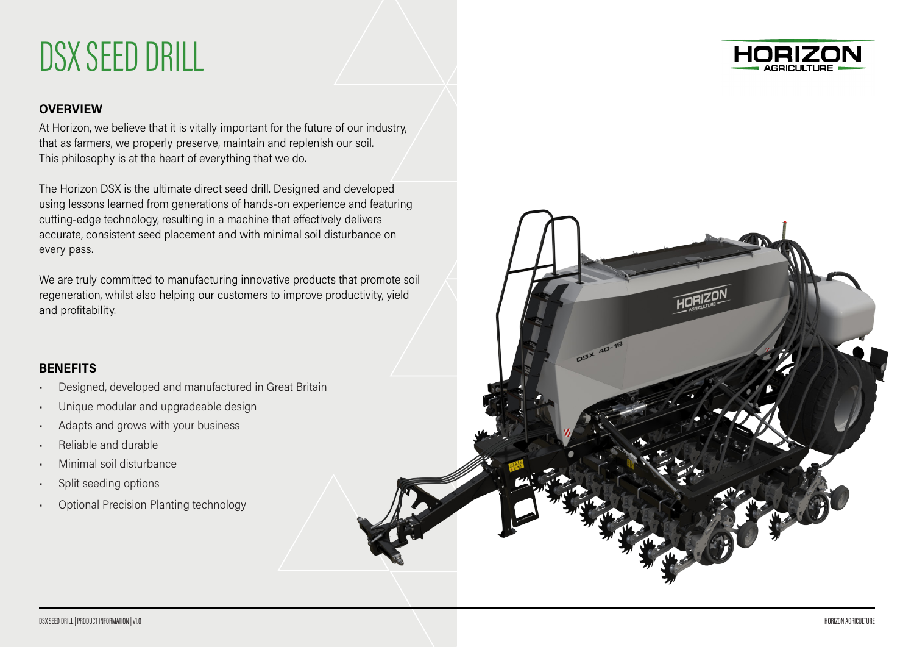# DSX SEED DRILL



### **OVERVIEW**

At Horizon, we believe that it is vitally important for the future of our industry, that as farmers, we properly preserve, maintain and replenish our soil. This philosophy is at the heart of everything that we do.

The Horizon DSX is the ultimate direct seed drill. Designed and developed using lessons learned from generations of hands-on experience and featuring cutting-edge technology, resulting in a machine that effectively delivers accurate, consistent seed placement and with minimal soil disturbance on every pass.

We are truly committed to manufacturing innovative products that promote soil regeneration, whilst also helping our customers to improve productivity, yield and profitability.

#### **BENEFITS**

- Designed, developed and manufactured in Great Britain
- Unique modular and upgradeable design
- Adapts and grows with your business
- Reliable and durable
- Minimal soil disturbance
- Split seeding options
- Optional Precision Planting technology